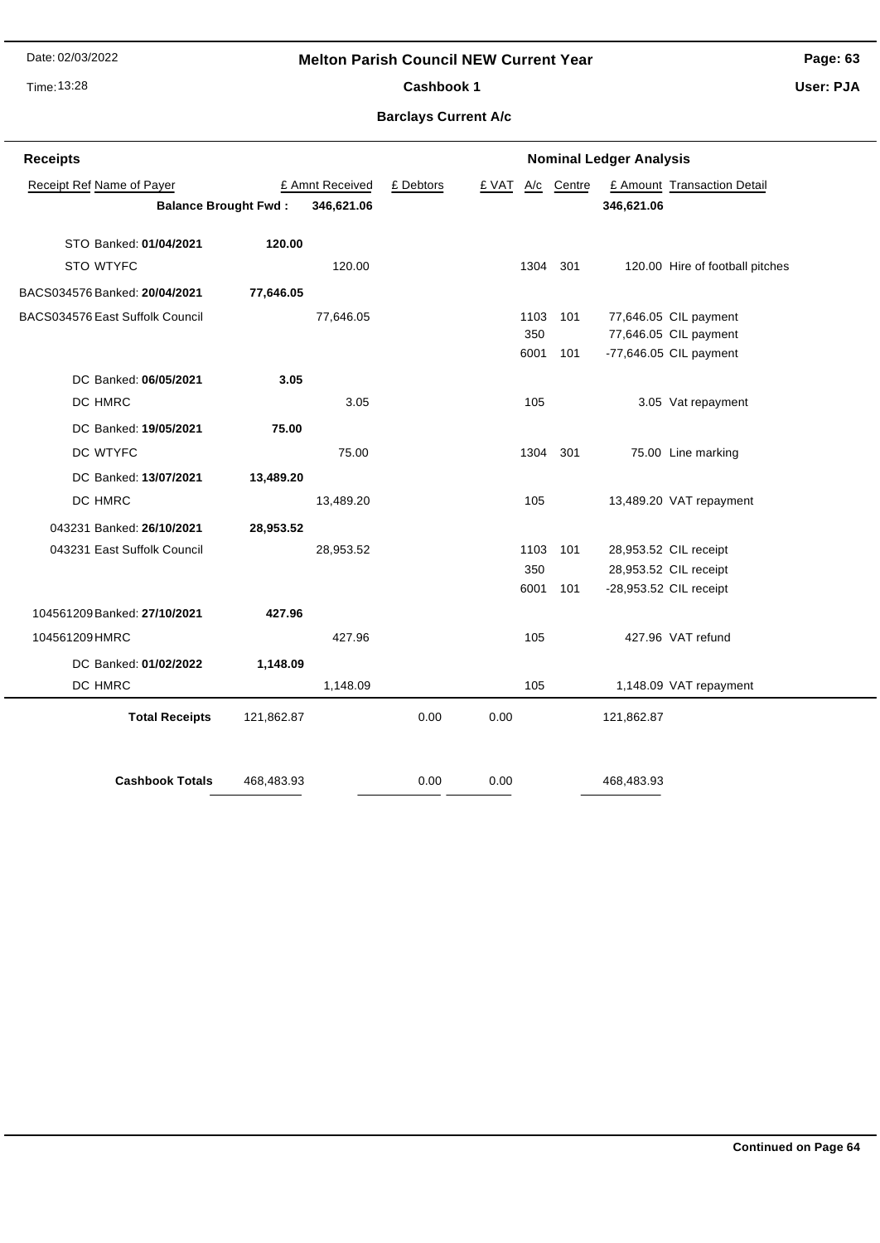Date: 02/03/2022

### **Melton Parish Council NEW Current Year**

Time: 13:28

**Page: 63 User: PJA**

Cashbook 1

**Barclays Current A/c**

| <b>Receipts</b>                           | <b>Nominal Ledger Analysis</b> |                 |           |       |                               |          |            |                                 |
|-------------------------------------------|--------------------------------|-----------------|-----------|-------|-------------------------------|----------|------------|---------------------------------|
| Receipt Ref Name of Payer                 |                                | £ Amnt Received | £ Debtors | £ VAT | $\underline{A}/\underline{c}$ | Centre   |            | £ Amount Transaction Detail     |
| 346,621.06<br><b>Balance Brought Fwd:</b> |                                |                 |           |       |                               |          | 346,621.06 |                                 |
|                                           |                                |                 |           |       |                               |          |            |                                 |
| STO Banked: 01/04/2021                    | 120.00                         |                 |           |       |                               |          |            |                                 |
| STO WTYFC                                 |                                | 120.00          |           |       | 1304                          | 301      |            | 120.00 Hire of football pitches |
| BACS034576 Banked: 20/04/2021             | 77,646.05                      |                 |           |       |                               |          |            |                                 |
| BACS034576 East Suffolk Council           |                                | 77,646.05       |           |       | 1103                          | 101      |            | 77,646.05 CIL payment           |
|                                           |                                |                 |           |       | 350                           |          |            | 77,646.05 CIL payment           |
|                                           |                                |                 |           |       | 6001                          | 101      |            | -77,646.05 CIL payment          |
| DC Banked: 06/05/2021                     | 3.05                           |                 |           |       |                               |          |            |                                 |
| DC HMRC                                   |                                | 3.05            |           |       | 105                           |          |            | 3.05 Vat repayment              |
| DC Banked: 19/05/2021                     | 75.00                          |                 |           |       |                               |          |            |                                 |
| DC WTYFC                                  |                                | 75.00           |           |       |                               | 1304 301 |            | 75.00 Line marking              |
| DC Banked: 13/07/2021                     | 13,489.20                      |                 |           |       |                               |          |            |                                 |
| DC HMRC                                   |                                | 13,489.20       |           |       | 105                           |          |            | 13,489.20 VAT repayment         |
| 043231 Banked: 26/10/2021                 | 28,953.52                      |                 |           |       |                               |          |            |                                 |
| 043231 East Suffolk Council               |                                | 28,953.52       |           |       | 1103                          | 101      |            | 28,953.52 CIL receipt           |
|                                           |                                |                 |           |       | 350                           |          |            | 28,953.52 CIL receipt           |
|                                           |                                |                 |           |       | 6001                          | 101      |            | -28,953.52 CIL receipt          |
| 104561209 Banked: 27/10/2021              | 427.96                         |                 |           |       |                               |          |            |                                 |
| 104561209 HMRC                            |                                | 427.96          |           |       | 105                           |          |            | 427.96 VAT refund               |
| DC Banked: 01/02/2022                     | 1,148.09                       |                 |           |       |                               |          |            |                                 |
| DC HMRC                                   |                                | 1,148.09        |           |       | 105                           |          |            | 1,148.09 VAT repayment          |
| <b>Total Receipts</b>                     | 121,862.87                     |                 | 0.00      | 0.00  |                               |          | 121,862.87 |                                 |
|                                           |                                |                 |           |       |                               |          |            |                                 |
|                                           |                                |                 |           |       |                               |          |            |                                 |
| <b>Cashbook Totals</b>                    | 468,483.93                     |                 | 0.00      | 0.00  |                               |          | 468,483.93 |                                 |